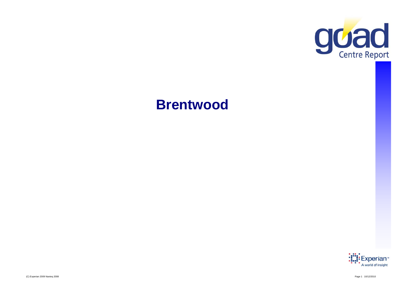

# **Brentwood**

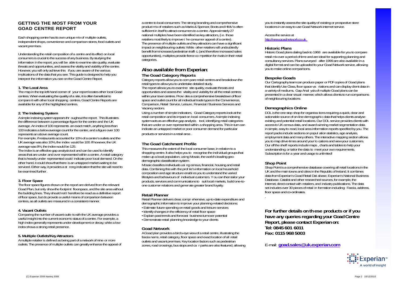## **GETTING THE MOST FROM YOUR GOAD CENTRE REPORT**

Each shopping centre has its own unique mix of multiple outlets, independent shops, convenience and comparison stores, food outlets and vacant premises.

Understanding the retail composition of a centre and its effect on local consumers is crucial to the success of any business. By studying the information in the report, you will be able to examine site quality, evaluate However, you will only achieve this if you are aware of the various implications of the data that you see. This guide is designed to help you interpret the information you see on the Goad Centre Report.

## **1. The Local Area**

The map in the top left-hand corner of your report locates other local Goad centres. When evaluating the quality of a site, it is often beneficial to compare it with other local shopping centres. Goad Centre Reports are centres. When evaluating the quality of a site, it is often beneficial to the comparisons within your town centres. Provides a comprehensive breakdown of floor presented in a clear visual manner, which allows clients to ru available for any of the highlighted centres.

## **2. The Indexing System**

A simple indexing system appears thr oughout the report. This illustrates the difference between a percentage figure for the centre and the UK average. An index of 100 represents an exact match, anything less than 100 indicates a below average count for the centre, and a figure over 100 represents an above average count.

For example, if restaurants accounted for 10% of a centre's outlets and the UK average was also 10%, the index would be 100. If however, the UK average was 8%, the index would be 125.

The index is an effective gap analysis tool and can be used to identify areas that are under and over represented within a centre. A retail category that is heavily under represented could indicate poor local demand. On the other hand, it could show that there is an untapped market waiting to be serviced. Either way, it provides a st rong indication that the site will need to be examined further.

## **3. Floor Space**

The floor space figures shown on the report are derived from the relevant Goad Plan, but only show the footprint floorspace, and the site area without the building lines. They should not t herefore be read as a definitive report of floor space, but do provide a useful means of comparison between centres, as all outlets are measured in a consistent manner.

## **4. Vacant Outlets**

 Comparing the number of vacant outle ts with the UK average provides a useful insight into the current economic status of a centre. For example, a high index generally represents under-development or decay, while a low **procedure the complete and the complete**  $\mathsf{Re}$ index shows a strong retail presence.

## **5. Multiple Outlets/Key Attractors**

A multiple retailer is defined as being part of a network of nine or more outlets. The presence of multiple outlets can greatly enhance the appeal of

a centre to local consumers: The strong branding and comprehensive product mix of retailers such as Marks & Spencer, Boots and HMV is often sufficient in itself to attract consumers to a centre. Approximately 27 national multiples have been identified as key attractors, (i.e. those retailers most likely to improve t he consumer appeal of a centre). The presence of multiple outlets and key attractors can have a significant impact on neighbouring outlets: While other retailers will undoubtedly benefit from increased pedestrian traffi c, (and therefore increased sales opportunities), multiples provide fierce co mpetition for rivals in their retail categories.

## **Also available from Experian**:

## **The Goad Category Reports**

Category reports allow you to com pare retail centres and breakdown the retail types to allow you to undertake detailed study. The report allows you to examine site quality, evaluate threats and opportunities and assess the vitality and viability for all the retail centres space and outlet count for all individual trade types in the Convenience. Comparison, Retail Service, Leisure, Financial / Business Services and Vacancy sectors.

Using a number of simple indicators, Goad Category reports look at the retail composition and its impact on local consumers. A simple indexing system acts as an effective gap analysis tool, identifying retail categories that are under or over represented within a shopping area. This in turn can indicate an untapped market or poor consumer demand for particular products or services in a retail area .

## **The Goad Catchment Profile**

This measures the extent of the local consumer base, in relation to a shopping centre. It also helps you to recognise the individual groups that make-up a local population, using Mosaic, the world's leading geodemographic classification system system.

Mosaic classifies individuals usi ng census, financial, housing and retail data. Combining this with the prof ile's information on local household composition and age structure enabl es you to understand the varied lifestyles and behaviours of individual customers. Y ou can then tailor your products, services and communications to suit local markets, build one-toone customer relations and generate greater brand loyalty.

## **Retail Planner**

Retail Planner delivers clear, compr ehensive, up-to-date expenditure and demographic information to improve your planning-related decisions: • Estimate future spending on retail goods and leisure services • Identify changes in the efficiency of retail floor space • Explain past trends and forecast business turnover potential • Demonstrate retail planning knowledge to your clients

## **Goad Network**

A Goad plan provides a birds-eye view of a retail centre, illustrating the fascia name, retail category, floor space and exact location of all retail outlets and vacant premises. Key location factors such as pedestrian zones, road crossings, bus stops and ca r parks are also featured, allowing you to instantly assess the site quality of existing or prospective store locations in an easy to use Goad Network internet service.

### Access the service at <http://www.goadnetwork.co.uk>

## **Historic Plans**

Historic Goad plans dating back to 1968 are available for you to compare retail mix over a period of time and are ideal for supporting planning and consultancy services. Plans surveyed after 1999 are also available in a information in the report, you will be able to examine site quality, evaluate<br>threats and opportunities, and assess the vitality and viability of the centre.<br>The service are service allowing the centre of the centre of the you to make online comparisons.

## **Bespoke Goads**

Our Cartography team can produce paper or PDF copies of Goad plans that identify Use Class, floor space va riations and can display client data in a variety of mediums. Gap Anal ysis of multiple Goad plans can be presented in a clear visual manner, which allows clients to run comparisons of neighbouring locations

## **Demographics Online**

DOL is the one stop shop for organisa tions requiring a quick, clear and actionable source of on-line demographic data that helps clients analyse existing and potential retail locations. Our DOL service provides clients with access to UK census data, and award winning market segmentation data in simple, easy to read, local area information reports specified by you. The report packs include sections on popul ation statistics, age analysis, employment data and many others. The interactive mapping section allows you to map drive-times around your lo cations and view your customers. Our off the shelf reports include maps , charts and tables to help your understanding; or tailor the data to meet your own requirements. Subscription is for a year and usage is unlimited!

## **Shop Point**

.

Shop Point is a comprehensive database covering all retail locations in the UK and the main towns and cities in the Republic of Ireland. It combines data from Experian's Goad Retail Dat abase, Experian's National Business Database. Catalist and other researched sources, for example, the Internet, direct contact with retailers, and industry publications. The data set includes over 30 pieces of retail in formation including: Fascia, address, floor space and co-ordinates.

**For further details on th ese products or if you have any queries regarding your Goad Centre port, please contact Ex perian on: p ,p p Tel: 0845 601 6011 Fax: 0115 968 5003** 

E-mail: **goad.sales [@uk.experian.com](mailto:goad.sales@uk.experian.com)**

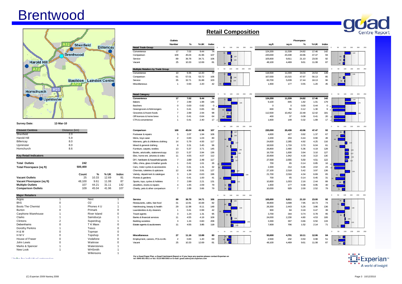# Brentwood



| <b>Closest Centres</b> | Distance (km) |
|------------------------|---------------|
| Shenfield              | 2.0           |
| Harold Hill            | 5.9           |
| Billericay             | 8.0           |
| Upminster              | 8.0           |
| Hornchurch             | 8.6           |
|                        |               |

| <b>Total Outlets</b>      | 242     |       |       |       |
|---------------------------|---------|-------|-------|-------|
| Total Floorspace (sq ft)  | 500.400 |       |       |       |
|                           | Count   | ℀     | % UK  | Index |
| <b>Vacant Outlets</b>     | 25      | 10.33 | 12.69 | 81    |
| Vacant Floorspace (sq ft) | 48.100  | 9.61  | 11.08 | 87    |
| <b>Multiple Outlets</b>   | 107     | 44.21 | 31.11 | 142   |
| <b>Comparison Outlets</b> | 109     | 45.04 | 41.96 | 107   |

| <b>Major Retailers</b>   |                |                |   |
|--------------------------|----------------|----------------|---|
| Argos                    |                | Next           |   |
| BhS                      |                | O <sub>2</sub> |   |
| <b>Boots The Chemist</b> |                | Phones 4 U     |   |
| Burton                   | O              | Primark        | 0 |
| Carphone Warehouse       |                | River Island   | 0 |
| Clarks                   |                | Sainsburys     |   |
| Clintons                 | $\overline{2}$ | Superdrug      |   |
| Debenhams                | $\Omega$       | T K Maxx       | 0 |
| Dorothy Perkins          |                | Tesco          | 0 |
| <b>H &amp; M</b>         | o              | Topman         | 0 |
| H <sub>M</sub> V         | O              | Topshop        | 0 |
| House of Fraser          | 0              | Vodafone       | 0 |
| John Lewis               | O              | Waitrose       | 0 |
| Marks & Spencer          |                | Waterstones    |   |
| New Look                 |                | <b>WHSmith</b> |   |
|                          |                | Wilkinsons     |   |

|                              |                                  |                |                   |       | Outlets                             |                           |       |       |                          |                                | Floorspace     |          |            |                |          |
|------------------------------|----------------------------------|----------------|-------------------|-------|-------------------------------------|---------------------------|-------|-------|--------------------------|--------------------------------|----------------|----------|------------|----------------|----------|
|                              | <b>Shenfield</b>                 |                |                   |       |                                     | Number                    | %     | % UK  | Index                    |                                | sq.ft          | sq.m     | %          | % UK           | Index    |
|                              |                                  |                | <b>Billericav</b> |       | <b>Retail Trade Group</b>           |                           |       |       |                          | 150<br>200<br>250<br>100       |                |          |            |                |          |
|                              |                                  |                |                   |       | Convenience                         | 17                        | 7.02  | 9.44  |                          |                                | 124,200        | 11,539   | 24.82      | 17.46          | 142      |
|                              | <b>Brentwood</b>                 |                |                   |       | Comparison                          | 109                       | 45.04 | 41.96 | 107                      | 107                            | 220,000        | 20,439   | 43.96      | 47.47          | 93       |
|                              |                                  |                |                   |       | Service                             | 89                        | 36.78 | 34.71 | 106                      | 106                            | 105,600        | 9,811    | 21.10      | 23.00          | 92       |
| <b>Harold Hill</b>           |                                  |                |                   |       | Vacant                              | 25                        | 10.33 | 12.69 | 81                       |                                | 48,100         | 4.469    | 9.61       | 11.08          | 87       |
|                              |                                  |                |                   |       |                                     |                           |       |       |                          |                                |                |          |            |                |          |
|                              |                                  |                |                   |       | Multiple Retailers by Trade Group   |                           |       |       |                          | 100<br>150<br>200<br>50<br>250 |                |          |            |                |          |
|                              |                                  |                |                   |       | Convenience                         | 10                        | 9.35  | 12.20 | 77                       |                                | 118,500        | 11,009   | 34.04      | 24.54          | 139      |
|                              |                                  |                |                   |       | Comparison                          | 61                        | 57.01 | 53.72 | 106                      | 106                            | 167,000        | 15,515   | 47.97      | 56.13          | 85       |
|                              | <b>Basildon - Laindon Centre</b> |                |                   |       | Service                             | 35                        | 32.71 | 31.88 | 103                      | 103                            | 60,700         | 5,639    | 17.44      | 18.13          | 96       |
|                              | M25                              |                |                   |       | Miscellaneous                       | $\overline{1}$            | 0.93  | 2.20  | 42                       | 42                             | 1.900          | 177      | 0.55       | 1.20           | 45       |
| Hornchurch                   |                                  |                |                   |       | <b>Retail Category</b>              |                           |       |       |                          | 250<br>200<br>150              |                |          |            |                |          |
| <b>Upminster</b>             |                                  |                |                   |       | Convenience                         | 17                        | 7.02  | 9.44  |                          |                                | 124,200        | 11,539   | 24.82      | 17.46          | 142      |
|                              |                                  |                |                   |       | <b>Bakers</b>                       | $\overline{7}$            | 2.89  | 1.98  | 146                      | 146                            | 9.100          | 845      | 1.82       | 1.01           | 179      |
|                              |                                  |                |                   |       | <b>Butchers</b>                     | $\Omega$                  | 0.00  | 0.82  | $\mathbf{0}$             |                                | $\Omega$       | $\Omega$ | 0.00       | 0.44           | $\Omega$ |
|                              |                                  |                |                   |       | Greengrocers & fishmongers          |                           | 0.41  | 0.65  | 63                       | 63                             | 600            | 56       | 0.12       | 1.30           | 9        |
|                              |                                  |                |                   |       | Groceries & frozen foods            | $\overline{7}$            | 2.89  | 2.94  | 98                       | 98                             | 112,500        | 10,452   | 22.48      | 12.42          | 181      |
|                              |                                  |                |                   |       | Off licences & home brew            | $\mathbf{1}$              | 0.41  | 0.64  | 64                       | 64                             | 400            | 37       | 0.08       | 0.41           | 20       |
|                              |                                  |                |                   |       | CTN & convenience                   |                           | 0.41  | 2.40  | 17                       |                                | 1,600          | 149      | 0.32       | 1.89           | 17       |
| <b>Survey Date:</b>          | 12-Mar-10                        |                |                   |       |                                     |                           |       |       |                          |                                |                |          |            |                |          |
|                              |                                  |                |                   |       |                                     |                           |       |       |                          | 100<br>150<br>200<br>250<br>50 |                |          |            |                |          |
| <b>Closest Centres</b>       | Distance (km)                    |                |                   |       | Comparison                          | 109                       | 45.04 | 41.96 | 107                      | 107                            | 220,000        | 20,439   | 43.96      | 47.47          | 93       |
| Shenfield                    | 2.0                              |                |                   |       | Footwear & repairs                  | 5                         | 2.07  | 1.94  | 106                      | 106                            | 4,600          | 427      | 0.92       | 1.37           | 67       |
| Harold Hill                  | 5.9                              |                |                   |       | Mens, boys wear                     | $\overline{2}$            | 0.83  | 1.03  | 80                       |                                | 2,200          | 204      | 0.44       | 0.90           | 49       |
| Billericay                   | 8.0                              |                |                   |       | Womens, girls & childrens clothing  | 14                        | 5.79  | 4.93  | 117                      |                                | 24,600         | 2,285    | 4.92       | 4.25           | 116      |
| Upminster                    | 8.0                              |                |                   |       | Mixed & general clothing            | 8                         | 3.31  | 3.45  | 96                       | 96                             | 18,500         | 1,719    | 3.70       | 6.04           | 61       |
| Hornchurch                   | 8.6                              |                |                   |       | Furniture, carpets, textiles        | 13                        | 5.37  | 3.71  | 145                      | 145                            | 26,800         | 2,490    | 5.36       | 4.19           | 128      |
|                              |                                  |                |                   |       | Books, arts/crafts, stationers/copy | 13                        | 5.37  | 3.94  | 136                      | 136                            | 19,700         | 1,830    | 3.94       | 3.10           | 127      |
| <b>Key Retail Indicators</b> |                                  |                |                   |       | Elec, home ent, 'phones & video     | 11                        | 4.55  | 4.07  | 112                      |                                | 20.900         | 1,942    | 4.18       | 3.22           | 130      |
|                              |                                  |                |                   |       | DIY, hardware & household goods     | $\overline{1}$            | 2.89  | 2.48  | 117                      |                                | 27,500         | 2,555    | 5.50       | 4.51           | 122      |
| <b>Total Outlets</b>         | 242                              |                |                   |       | Gifts, china, glass & leather goods | $\mathbf{1}$              | 0.41  | 1.61  | 26                       |                                | 700            | 65       | 0.14       | 0.85           | 16       |
| Total Floorspace (sq ft)     | 500,400                          |                |                   |       | Cars, motor cycles & accessories    | $\mathbf{1}$              | 0.41  | 1.31  | 32                       |                                | 2.300          | 214      | 0.46       | 2.02           | 23       |
|                              |                                  |                |                   |       | Chemists, toiletries & opticians    | 12                        | 4.96  | 3.91  | 127                      |                                | 27.100         | 2,518    | 5.42       | 3.97           | 136      |
|                              | Count                            | %              | % UK              | Index | Variety, department & catalogue     | 3                         | 1.24  | 0.63  | 196                      | 127<br>196                     | 21,700         | 2,016    | 4.34       | 6.69           | 65       |
| <b>Vacant Outlets</b>        | 25                               | 10.33          | 12.69             | 81    | Florists & gardens                  | $\mathbf{1}$              | 0.41  | 1.00  | 41                       |                                | 700            | 65       | 0.14       | 0.45           | 31       |
| Vacant Floorspace (sq ft)    | 48.100                           | 9.61           | 11.08             | 87    | Sports, toys, cycles & hobbies      | $\overline{7}$            | 2.89  | 2.21  | 131                      |                                | 10.800         | 1.003    | 2.16       | 2.44           | 89       |
| <b>Multiple Outlets</b>      | 107                              | 44.21          | 31.11             | 142   | Jewellers, clocks & repairs         | $\boldsymbol{\varLambda}$ | 1.65  | 2.09  | 79                       |                                | 1,900          | 177      | 0.38       | 0.95           |          |
| <b>Comparison Outlets</b>    | 109                              | 45.04          | 41.96             | 107   | Charity, pets & other comparison    | $\overline{7}$            | 2.89  | 3.66  | 79                       |                                | 10.000         | 929      | 2.00       | 2.52           | 40<br>79 |
|                              |                                  |                |                   |       |                                     |                           |       |       |                          |                                |                |          |            |                |          |
| <b>Major Retailers</b>       |                                  |                |                   |       |                                     |                           |       |       |                          | 150<br>100<br>200<br>250       |                |          |            |                |          |
| Argos                        |                                  | <b>Next</b>    |                   |       | Service                             | 89                        | 36.78 | 34.71 | 106                      |                                | 105.600        | 9,811    | 21.10      | 23.00          | 92       |
| BhS                          | $\Omega$                         | O <sub>2</sub> |                   |       | Restaurants, cafes, fast food       | 31                        | 12.81 | 15.68 | 82                       | 106                            | 39,800         | 3,698    | 7.95       | 10.73          | 74       |
|                              |                                  | D.             |                   |       |                                     | $\sim$                    | 11.00 | 0.44  | $\overline{\phantom{a}}$ |                                | 0 <sub>1</sub> | 0.110    | $\sim$ 0.4 | 0 <sup>0</sup> | 401      |

## **Retail Composition**



For a Goad Paper Plan. a Goad Catchment Report or if you have any queries please contact Experian on K base for individual categories D **tel: 0845 601 6011 or fax: 0115 968 5003 or E-mail: [goad.sales@uk.experian.com](mailto:goad.sales@uk.experian.com)**



**Centre Repor**